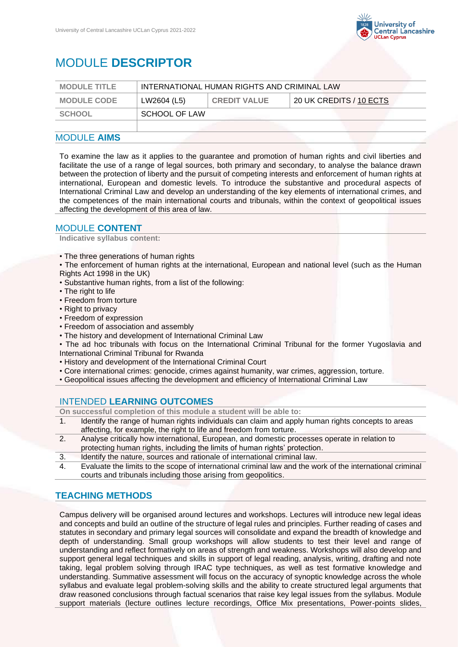

# MODULE **DESCRIPTOR**

| <b>MODULE TITLE</b> | INTERNATIONAL HUMAN RIGHTS AND CRIMINAL LAW |                     |                         |
|---------------------|---------------------------------------------|---------------------|-------------------------|
| <b>MODULE CODE</b>  | LW2604 (L5)                                 | <b>CREDIT VALUE</b> | 20 UK CREDITS / 10 ECTS |
| SCHOOL              | SCHOOL OF LAW                               |                     |                         |
|                     |                                             |                     |                         |

## MODULE **AIMS**

To examine the law as it applies to the guarantee and promotion of human rights and civil liberties and facilitate the use of a range of legal sources, both primary and secondary, to analyse the balance drawn between the protection of liberty and the pursuit of competing interests and enforcement of human rights at international, European and domestic levels. To introduce the substantive and procedural aspects of International Criminal Law and develop an understanding of the key elements of international crimes, and the competences of the main international courts and tribunals, within the context of geopolitical issues affecting the development of this area of law.

#### MODULE **CONTENT**

**Indicative syllabus content:**

- The three generations of human rights
- The enforcement of human rights at the international, European and national level (such as the Human Rights Act 1998 in the UK)
- Substantive human rights, from a list of the following:
- The right to life
- Freedom from torture
- Right to privacy
- Freedom of expression
- Freedom of association and assembly
- The history and development of International Criminal Law
- The ad hoc tribunals with focus on the International Criminal Tribunal for the former Yugoslavia and International Criminal Tribunal for Rwanda
- History and development of the International Criminal Court
- Core international crimes: genocide, crimes against humanity, war crimes, aggression, torture.
- Geopolitical issues affecting the development and efficiency of International Criminal Law

## INTENDED **LEARNING OUTCOMES**

**On successful completion of this module a student will be able to:**

- 1. Identify the range of human rights individuals can claim and apply human rights concepts to areas affecting, for example, the right to life and freedom from torture.
- 2. Analyse critically how international, European, and domestic processes operate in relation to protecting human rights, including the limits of human rights' protection.
- 3. Identify the nature, sources and rationale of international criminal law.
- 4. Evaluate the limits to the scope of international criminal law and the work of the international criminal courts and tribunals including those arising from geopolitics.

## **TEACHING METHODS**

Campus delivery will be organised around lectures and workshops. Lectures will introduce new legal ideas and concepts and build an outline of the structure of legal rules and principles. Further reading of cases and statutes in secondary and primary legal sources will consolidate and expand the breadth of knowledge and depth of understanding. Small group workshops will allow students to test their level and range of understanding and reflect formatively on areas of strength and weakness. Workshops will also develop and support general legal techniques and skills in support of legal reading, analysis, writing, drafting and note taking, legal problem solving through IRAC type techniques, as well as test formative knowledge and understanding. Summative assessment will focus on the accuracy of synoptic knowledge across the whole syllabus and evaluate legal problem-solving skills and the ability to create structured legal arguments that draw reasoned conclusions through factual scenarios that raise key legal issues from the syllabus. Module support materials (lecture outlines lecture recordings, Office Mix presentations, Power-points slides,